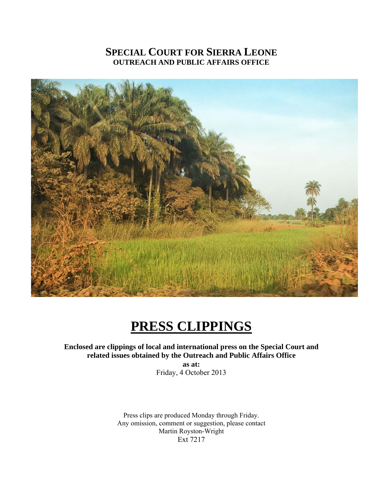# **SPECIAL COURT FOR SIERRA LEONE OUTREACH AND PUBLIC AFFAIRS OFFICE**



# **PRESS CLIPPINGS**

**Enclosed are clippings of local and international press on the Special Court and related issues obtained by the Outreach and Public Affairs Office** 

**as at:**  Friday, 4 October 2013

Press clips are produced Monday through Friday. Any omission, comment or suggestion, please contact Martin Royston-Wright Ext 7217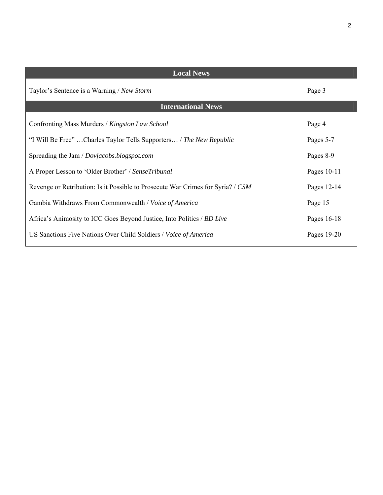| <b>Local News</b>                                                               |             |  |  |  |
|---------------------------------------------------------------------------------|-------------|--|--|--|
| Taylor's Sentence is a Warning / New Storm                                      | Page 3      |  |  |  |
| <b>International News</b>                                                       |             |  |  |  |
| Confronting Mass Murders / Kingston Law School                                  | Page 4      |  |  |  |
| "I Will Be Free" Charles Taylor Tells Supporters / The New Republic             | Pages 5-7   |  |  |  |
| Spreading the Jam / Dovjacobs.blogspot.com                                      | Pages 8-9   |  |  |  |
| A Proper Lesson to 'Older Brother' / SenseTribunal                              | Pages 10-11 |  |  |  |
| Revenge or Retribution: Is it Possible to Prosecute War Crimes for Syria? / CSM | Pages 12-14 |  |  |  |
| Gambia Withdraws From Commonwealth / Voice of America                           | Page 15     |  |  |  |
| Africa's Animosity to ICC Goes Beyond Justice, Into Politics / BD Live          | Pages 16-18 |  |  |  |
| US Sanctions Five Nations Over Child Soldiers / Voice of America                | Pages 19-20 |  |  |  |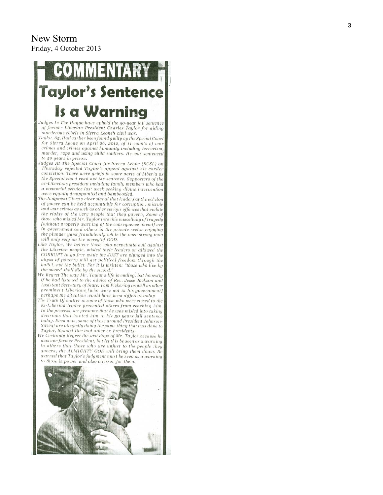## New Storm Friday, 4 October 2013

# **Taylor's Sentence Is a Warning**

Judges In The Hague have upheld the 50-year jail sentence of former Liberian President Charles Taylor for aiding murderous rebels in Sierra Leone's civil war.

Taylor, 65, Had earlier been found guilty by the Special Court for Sierra Leone on April 26, 2012, of 11 counts of war crimes and crimes against humanity including terrorism, murder, rape and using child soldiers. He was sentenced to 50 years in prison.

- Judges At The Special Court for Sierra Leone (SCSL) on Thursday rejected Taylor's appeal against his earlier conviction. There were griefs in some parts of Liberia as the Special court read out the sentence. Supporters of the ex-Liberians president including family members who had a memorial service last week seeking divine intervention<br>were equally disappointed and bamboozled.
- The Judgment Gives a clear signal that leaders at the echelon of power can be held accountable for corruption, misrule and war crimes as well as other serious offenses that violate the rights of the very people that they govern, Some of those who misled Mr. Taylor into this miscellany of tragedy [without properly warning of the consequence ahead] are in government and others in the private sector enjoying the plunder yank fraudulently while the once strong man will only rely on the mercy of GOD.
- ike Taylor, We believe those who perpetuate evil against the Liberian people, misled their leaders or allowed the CORRUPT to go free while the JUST are plunged into the abyss of poverty will get political freedom through the ballot, not the bullet. For it is written: "those who live by the sword shall die by the sword."
- We Regret The way Mr. Taylor's life is ending, but honestly if he had listened to the advice of Rev. Jesse Jackson and Assistant Secretary of State, Tom Pickering as well as other prominent Liberians [who were not in his government] perhaps the situation would have been different today.
- The Truth Of matter is some of those who were closed to the ex-Liberian leader prevented others from reaching him. In the process, we presume that he was misled into taking decisions that hunted him to his 50 years jail sentence today. Even now, some of those around President Johnson-Sirleaf are allegedly doing the same thing that was done to Taylor, Samuel Doe and other ex-Presidents.
- We Certainly Regret the last days of Mr. Taylor because he was our former President, but let this be seen as a warning to others that those who are unjust to the people they govern, the ALMIGHTY GOD will bring them down. Be warned that Taylor's judgment must be seen as a warning to those in power and also a lesson for them.

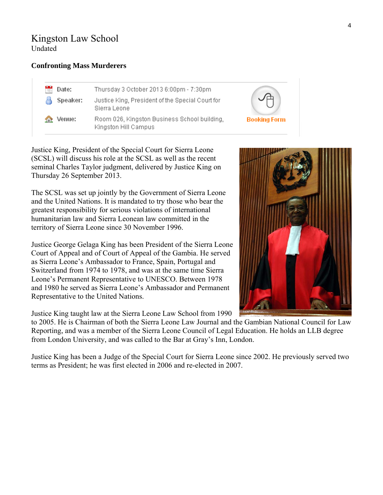# Kingston Law School Undated

#### **Confronting Mass Murderers**

| $-17.$ | Date:                 | Thursday 3 October 2013 6:00pm - 7:30pm                              |    |
|--------|-----------------------|----------------------------------------------------------------------|----|
|        | Speaker:              | Justice King, President of the Special Court for<br>Sierra Leone     |    |
|        | <b>Section</b> Venue: | Room 026, Kingston Business School building,<br>Kingston Hill Campus | Bo |

Justice King, President of the Special Court for Sierra Leone (SCSL) will discuss his role at the SCSL as well as the recent seminal Charles Taylor judgment, delivered by Justice King on Thursday 26 September 2013.

The SCSL was set up jointly by the Government of Sierra Leone and the United Nations. It is mandated to try those who bear the greatest responsibility for serious violations of international humanitarian law and Sierra Leonean law committed in the territory of Sierra Leone since 30 November 1996.

Justice George Gelaga King has been President of the Sierra Leone Court of Appeal and of Court of Appeal of the Gambia. He served as Sierra Leone's Ambassador to France, Spain, Portugal and Switzerland from 1974 to 1978, and was at the same time Sierra Leone's Permanent Representative to UNESCO. Between 1978 and 1980 he served as Sierra Leone's Ambassador and Permanent Representative to the United Nations.

Justice King taught law at the Sierra Leone Law School from 1990

to 2005. He is Chairman of both the Sierra Leone Law Journal and the Gambian National Council for Law Reporting, and was a member of the Sierra Leone Council of Legal Education. He holds an LLB degree from London University, and was called to the Bar at Gray's Inn, London.

Justice King has been a Judge of the Special Court for Sierra Leone since 2002. He previously served two terms as President; he was first elected in 2006 and re-elected in 2007.



oking Form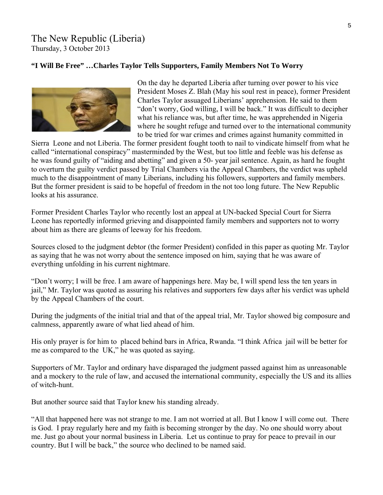#### **"I Will Be Free" …Charles Taylor Tells Supporters, Family Members Not To Worry**



On the day he departed Liberia after turning over power to his vice President Moses Z. Blah (May his soul rest in peace), former President Charles Taylor assuaged Liberians' apprehension. He said to them "don't worry, God willing, I will be back." It was difficult to decipher what his reliance was, but after time, he was apprehended in Nigeria where he sought refuge and turned over to the international c ommunity to be tried for war crimes and crimes against humanity committed in

Sierra Leone and not Liberia. The former president fought tooth to nail to vindicate himself from what he called "international conspiracy" masterminded by the West, but too little and feeble was his defense as he was found guilty of "aiding and abetting" and given a 50- year jail sentence. Again, as hard he fought to overturn the guilty verdict passed by Trial Chambers via the Appeal Chambers, the verdict was uph eld much to the disappointment of many Liberians, including his followers, supporters and family members. But the former president is said to be hopeful of freedom in the not too long future. The New Republic looks at his assurance.

Former President Charles Taylor who recently lost an appeal at UN-backed Special Court for Sierra Leone has reportedly informed grieving and disappointed family members and supporters not to worry about him as there are gleams of leeway for his freedom.

Sources closed to the judgment debtor (the former President) confided in this paper as quoting Mr. Taylor as saying that he was not worry about the sentence imposed on him, saying that he was aware of everything unfolding in his current nightmare.

"Don't worry; I will be free. I am aware of happenings here. May be, I will spend less the ten years in jail," Mr. Taylor was quoted as assuring his relatives and supporters few days after his verdict was upheld by the Appeal Chambers of the court.

During the judgments of the initial trial and that of the appeal trial, Mr. Taylor showed big composure and calmness, apparently aware of what lied ahead of him.

His only prayer is for him to placed behind bars in Africa, Rwanda. "I think Africa jail will be better for me as compared to the UK," he was quoted as saying.

Supporters of Mr. Taylor and ordinary have disparaged the judgment passed against him as unreasonable and a mockery to the rule of law, and accused the international community, especially the US and its allies of witch-hunt.

But another source said that Taylor knew his standing already.

"All that happened here was not strange to me. I am not worried at all. But I know I will come out. There is God. I pray regularly here and my faith is becoming stronger by the day. No one should worry about me. Just go about your normal business in Liberia. Let us continue to pray for peace to prevail in our country. But I will be back," the source who declined to be named said.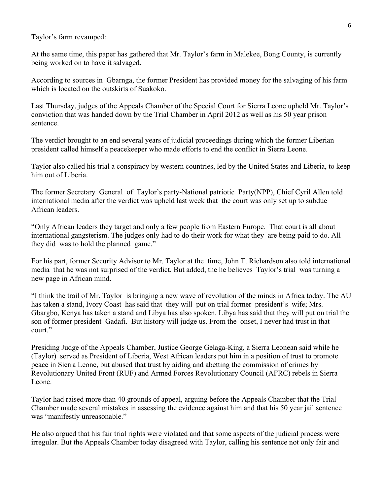Taylor's farm revamped:

At the same time, this paper has gathered that Mr. Taylor's farm in Malekee, Bong County, is currently being worked on to have it salvaged.

According to sources in Gbarnga, the former President has provided money for the salvaging of his farm which is located on the outskirts of Suakoko.

Last Thursday, judges of the Appeals Chamber of the Special Court for Sierra Leone upheld Mr. Taylor's conviction that was handed down by the Trial Chamber in April 2012 as well as his 50 year prison sentence.

The verdict brought to an end several years of judicial proceedings during which the former Liberian president called himself a peacekeeper who made efforts to end the conflict in Sierra Leone.

Taylor also called his trial a conspiracy by western countries, led by the United States and Liberia, to keep him out of Liberia.

The former Secretary General of Taylor's party-National patriotic Party(NPP), Chief Cyril Allen told international media after the verdict was upheld last week that the court was only set up to subdue African leaders.

"Only African leaders they target and only a few people from Eastern Europe. That court is all about international gangsterism. The judges only had to do their work for what they are being paid to do. All they did was to hold the planned game."

For his part, former Security Advisor to Mr. Taylor at the time, John T. Richardson also told international media that he was not surprised of the verdict. But added, the he believes Taylor's trial was turning a new page in African mind.

"I think the trail of Mr. Taylor is bringing a new wave of revolution of the minds in Africa today. The AU has taken a stand, Ivory Coast has said that they will put on trial former president's wife; Mrs. Gbargbo, Kenya has taken a stand and Libya has also spoken. Libya has said that they will put on trial the son of former president Gadafi. But history will judge us. From the onset, I never had trust in that court."

Presiding Judge of the Appeals Chamber, Justice George Gelaga-King, a Sierra Leonean said while he (Taylor) served as President of Liberia, West African leaders put him in a position of trust to promote peace in Sierra Leone, but abused that trust by aiding and abetting the commission of crimes by Revolutionary United Front (RUF) and Armed Forces Revolutionary Council (AFRC) rebels in Sierra Leone.

Taylor had raised more than 40 grounds of appeal, arguing before the Appeals Chamber that the Trial Chamber made several mistakes in assessing the evidence against him and that his 50 year jail sentence was "manifestly unreasonable."

He also argued that his fair trial rights were violated and that some aspects of the judicial process were irregular. But the Appeals Chamber today disagreed with Taylor, calling his sentence not only fair and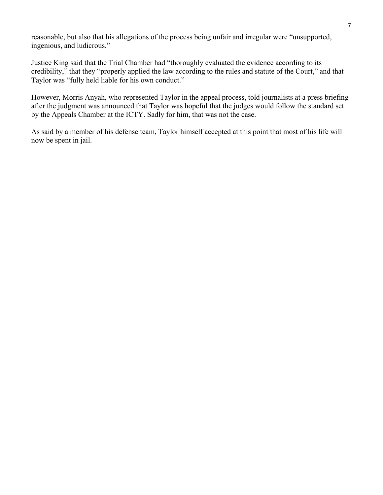reasonable, but also that his allegations of the process being unfair and irregular were "unsupported, ingenious, and ludicrous."

Justice King said that the Trial Chamber had "thoroughly evaluated the evidence according to its credibility," that they "properly applied the law according to the rules and statute of the Court," and that Taylor was "fully held liable for his own conduct."

However, Morris Anyah, who represented Taylor in the appeal process, told journalists at a press briefing after the judgment was announced that Taylor was hopeful that the judges would follow the standard set by the Appeals Chamber at the ICTY. Sadly for him, that was not the case.

As said by a member of his defense team, Taylor himself accepted at this point that most of his life will now be spent in jail.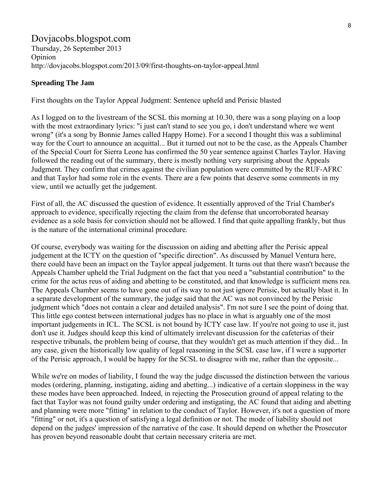#### Dovjacobs.blogspot.com Thursday, 26 September 2013 Opinion http://dovjacobs.blogspot.com/2013/09/first-thoughts-on-taylor-appeal.html

#### **Spreading The Jam**

First thoughts on the Taylor Appeal Judgment: Sentence upheld and Perisic blasted

As I logged on to the livestream of the SCSL this morning at 10.30, there was a song playing on a loop with the most extraordinary lyrics: "i just can't stand to see you go, i don't understand where we went wrong" (it's a song by Bonnie James called Happy Home). For a second I thought this was a subliminal way for the Court to announce an acquittal... But it turned out not to be the case, as the Appeals Chamber of the Special Court for Sierra Leone has confirmed the 50 year sentence against Charles Taylor. Having followed the reading out of the summary, there is mostly nothing very surprising about the Appeals Judgment. They confirm that crimes against the civilian population were committed by the RUF-AFRC and that Taylor had some role in the events. There are a few points that deserve some comments in my view, until we actually get the judgement.

First of all, the AC discussed the question of evidence. It essentially approved of the Trial Chamber's approach to evidence, specifically rejecting the claim from the defense that uncorroborated hearsay evidence as a sole basis for conviction should not be allowed. I find that quite appalling frankly, but thus is the nature of the international criminal procedure.

Of course, everybody was waiting for the discussion on aiding and abetting after the Perisic appeal judgement at the ICTY on the question of "specific direction". As discussed by Manuel Ventura here, there could have been an impact on the Taylor appeal judgement. It turns out that there wasn't because the Appeals Chamber upheld the Trial Judgment on the fact that you need a "substantial contribution" to the crime for the actus reus of aiding and abetting to be constituted, and that knowledge is sufficient mens rea. The Appeals Chamber seems to have gone out of its way to not just ignore Perisic, but actually blast it. In a separate development of the summary, the judge said that the AC was not convinced by the Perisic judgment which "does not contain a clear and detailed analysis". I'm not sure I see the point of doing that. This little ego contest between international judges has no place in what is arguably one of the most important judgements in ICL. The SCSL is not bound by ICTY case law. If you're not going to use it, just don't use it. Judges should keep this kind of ultimately irrelevant discussion for the cafeterias of their respective tribunals, the problem being of course, that they wouldn't get as much attention if they did... In any case, given the historically low quality of legal reasoning in the SCSL case law, if I were a supporter of the Perisic approach, I would be happy for the SCSL to disagree with me, rather than the opposite...

While we're on modes of liability, I found the way the judge discussed the distinction between the various modes (ordering, planning, instigating, aiding and abetting...) indicative of a certain sloppiness in the way these modes have been approached. Indeed, in rejecting the Prosecution ground of appeal relating to the fact that Taylor was not found guilty under ordering and instigating, the AC found that aiding and abetting and planning were more "fitting" in relation to the conduct of Taylor. However, it's not a question of more "fitting" or not, it's a question of satisfying a legal definition or not. The mode of liability should not depend on the judges' impression of the narrative of the case. It should depend on whether the Prosecutor has proven beyond reasonable doubt that certain necessary criteria are met.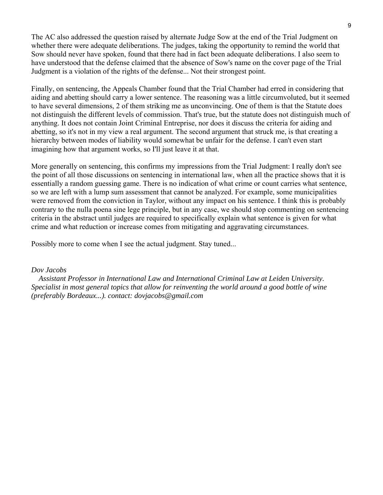The AC also addressed the question raised by alternate Judge Sow at the end of the Trial Judgment on whether there were adequate deliberations. The judges, taking the opportunity to remind the world that Sow should never have spoken, found that there had in fact been adequate deliberations. I also seem to have understood that the defense claimed that the absence of Sow's name on the cover page of the Trial Judgment is a violation of the rights of the defense... Not their strongest point.

Finally, on sentencing, the Appeals Chamber found that the Trial Chamber had erred in considering that aiding and abetting should carry a lower sentence. The reasoning was a little circumvoluted, but it seemed to have several dimensions, 2 of them striking me as unconvincing. One of them is that the Statute does not distinguish the different levels of commission. That's true, but the statute does not distinguish much of anything. It does not contain Joint Criminal Entreprise, nor does it discuss the criteria for aiding and abetting, so it's not in my view a real argument. The second argument that struck me, is that creating a hierarchy between modes of liability would somewhat be unfair for the defense. I can't even start imagining how that argument works, so I'll just leave it at that.

More generally on sentencing, this confirms my impressions from the Trial Judgment: I really don't see the point of all those discussions on sentencing in international law, when all the practice shows that it is essentially a random guessing game. There is no indication of what crime or count carries what sentence, so we are left with a lump sum assessment that cannot be analyzed. For example, some municipalities were removed from the conviction in Taylor, without any impact on his sentence. I think this is probably contrary to the nulla poena sine lege principle, but in any case, we should stop commenting on sentencing criteria in the abstract until judges are required to specifically explain what sentence is given for what crime and what reduction or increase comes from mitigating and aggravating circumstances.

Possibly more to come when I see the actual judgment. Stay tuned...

#### *Dov Jacobs*

 *Assistant Professor in International Law and International Criminal Law at Leiden University. Specialist in most general topics that allow for reinventing the world around a good bottle of wine (preferably Bordeaux...). contact: dovjacobs@gmail.com*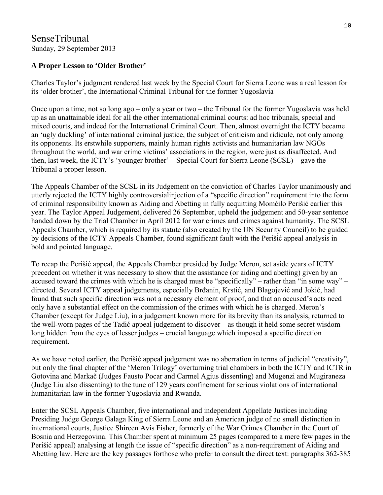## SenseTribunal Sunday, 29 September 2013

#### **A Proper Lesson to 'Older Brother'**

Charles Taylor's judgment rendered last week by the Special Court for Sierra Leone was a real lesson for its 'older brother', the International Criminal Tribunal for the former Yugoslavia

Once upon a time, not so long ago – only a year or two – the Tribunal for the former Yugoslavia was held up as an unattainable ideal for all the other international criminal courts: ad hoc tribunals, special and mixed courts, and indeed for the International Criminal Court. Then, almost overnight the ICTY became an 'ugly duckling' of international criminal justice, the subject of criticism and ridicule, not only among its opponents. Its erstwhile supporters, mainly human rights activists and humanitarian law NGOs throughout the world, and war crime victims' associations in the region, were just as disaffected. And then, last week, the ICTY's 'younger brother' – Special Court for Sierra Leone (SCSL) – gave the Tribunal a proper lesson.

The Appeals Chamber of the SCSL in its Judgement on the conviction of Charles Taylor unanimously and utterly rejected the ICTY highly controversialinjection of a "specific direction" requirement into the form of criminal responsibility known as Aiding and Abetting in fully acquitting Momčilo Perišić earlier this year. The Taylor Appeal Judgement, delivered 26 September, upheld the judgement and 50-year sentence handed down by the Trial Chamber in April 2012 for war crimes and crimes against humanity. The SCSL Appeals Chamber, which is required by its statute (also created by the UN Security Council) to be guided by decisions of the ICTY Appeals Chamber, found significant fault with the Perišić appeal analysis in bold and pointed language.

To recap the Perišić appeal, the Appeals Chamber presided by Judge Meron, set aside years of ICTY precedent on whether it was necessary to show that the assistance (or aiding and abetting) given by an accused toward the crimes with which he is charged must be "specifically" – rather than "in some way" – directed. Several ICTY appeal judgements, especially Brđanin, Krstić, and Blagojević and Jokić, had found that such specific direction was not a necessary element of proof, and that an accused's acts need only have a substantial effect on the commission of the crimes with which he is charged. Meron's Chamber (except for Judge Liu), in a judgement known more for its brevity than its analysis, returned to the well-worn pages of the Tadić appeal judgement to discover – as though it held some secret wisdom long hidden from the eyes of lesser judges – crucial language which imposed a specific direction requirement.

As we have noted earlier, the Perišić appeal judgement was no aberration in terms of judicial "creativity", but only the final chapter of the 'Meron Trilogy' overturning trial chambers in both the ICTY and ICTR in Gotovina and Markač (Judges Fausto Pocar and Carmel Agius dissenting) and Mugenzi and Mugiraneza (Judge Liu also dissenting) to the tune of 129 years confinement for serious violations of international humanitarian law in the former Yugoslavia and Rwanda.

Enter the SCSL Appeals Chamber, five international and independent Appellate Justices including Presiding Judge George Galaga King of Sierra Leone and an American judge of no small distinction in international courts, Justice Shireen Avis Fisher, formerly of the War Crimes Chamber in the Court of Bosnia and Herzegovina. This Chamber spent at minimum 25 pages (compared to a mere few pages in the Perišić appeal) analysing at length the issue of "specific direction" as a non-requirement of Aiding and Abetting law. Here are the key passages forthose who prefer to consult the direct text: paragraphs 362-385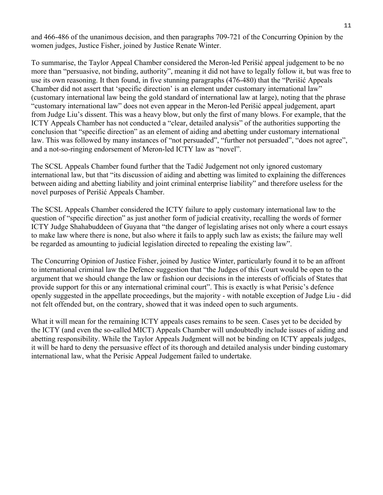and 466-486 of the unanimous decision, and then paragraphs 709-721 of the Concurring Opinion by the women judges, Justice Fisher, joined by Justice Renate Winter.

To summarise, the Taylor Appeal Chamber considered the Meron-led Perišić appeal judgement to be no more than "persuasive, not binding, authority", meaning it did not have to legally follow it, but was free to use its own reasoning. It then found, in five stunning paragraphs (476-480) that the "Perišić Appeals Chamber did not assert that 'specific direction' is an element under customary international law" (customary international law being the gold standard of international law at large), noting that the phrase "customary international law" does not even appear in the Meron-led Perišić appeal judgement, apart from Judge Liu's dissent. This was a heavy blow, but only the first of many blows. For example, that the ICTY Appeals Chamber has not conducted a "clear, detailed analysis" of the authorities supporting the conclusion that "specific direction" as an element of aiding and abetting under customary international law. This was followed by many instances of "not persuaded", "further not persuaded", "does not agree", and a not-so-ringing endorsement of Meron-led ICTY law as "novel".

The SCSL Appeals Chamber found further that the Tadić Judgement not only ignored customary international law, but that "its discussion of aiding and abetting was limited to explaining the differences between aiding and abetting liability and joint criminal enterprise liability" and therefore useless for the novel purposes of Perišić Appeals Chamber.

The SCSL Appeals Chamber considered the ICTY failure to apply customary international law to the question of "specific direction" as just another form of judicial creativity, recalling the words of former ICTY Judge Shahabuddeen of Guyana that "the danger of legislating arises not only where a court essays to make law where there is none, but also where it fails to apply such law as exists; the failure may well be regarded as amounting to judicial legislation directed to repealing the existing law".

The Concurring Opinion of Justice Fisher, joined by Justice Winter, particularly found it to be an affront to international criminal law the Defence suggestion that "the Judges of this Court would be open to the argument that we should change the law or fashion our decisions in the interests of officials of States that provide support for this or any international criminal court". This is exactly is what Perisic's defence openly suggested in the appellate proceedings, but the majority - with notable exception of Judge Liu - did not felt offended but, on the contrary, showed that it was indeed open to such arguments.

What it will mean for the remaining ICTY appeals cases remains to be seen. Cases yet to be decided by the ICTY (and even the so-called MICT) Appeals Chamber will undoubtedly include issues of aiding and abetting responsibility. While the Taylor Appeals Judgment will not be binding on ICTY appeals judges, it will be hard to deny the persuasive effect of its thorough and detailed analysis under binding customary international law, what the Perisic Appeal Judgement failed to undertake.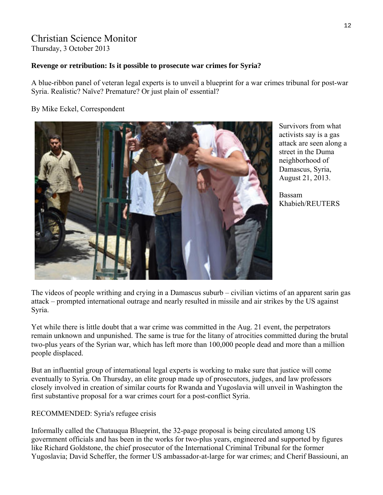# Christian Science Monitor

Thursday, 3 October 2013

#### **Revenge or retribution: Is it possible to prosecute war crimes for Syria?**

A blue-ribbon panel of veteran legal experts is to unveil a blueprint for a war crimes tribunal for post-war Syria. Realistic? Naïve? Premature? Or just plain ol' essential?

#### By Mike Eckel, Correspondent



Survivors from what activists say is a gas attack are seen along a street in the Duma neighborhood of Damascus, Syria, August 21, 2013.

Bassam Khabieh/REUTERS

The videos of people writhing and crying in a Damascus suburb – civilian victims of an apparent sarin gas attack – prompted international outrage and nearly resulted in missile and air strikes by the US against Syria.

Yet while there is little doubt that a war crime was committed in the Aug. 21 event, the perpetrators remain unknown and unpunished. The same is true for the litany of atrocities committed during the brutal two-plus years of the Syrian war, which has left more than 100,000 people dead and more than a million people displaced.

But an influential group of international legal experts is working to make sure that justice will come eventually to Syria. On Thursday, an elite group made up of prosecutors, judges, and law professors closely involved in creation of similar courts for Rwanda and Yugoslavia will unveil in Washington the first substantive proposal for a war crimes court for a post-conflict Syria.

#### RECOMMENDED: Syria's refugee crisis

Informally called the Chatauqua Blueprint, the 32-page proposal is being circulated among US government officials and has been in the works for two-plus years, engineered and supported by figures like Richard Goldstone, the chief prosecutor of the International Criminal Tribunal for the former Yugoslavia; David Scheffer, the former US ambassador-at-large for war crimes; and Cherif Bassiouni, an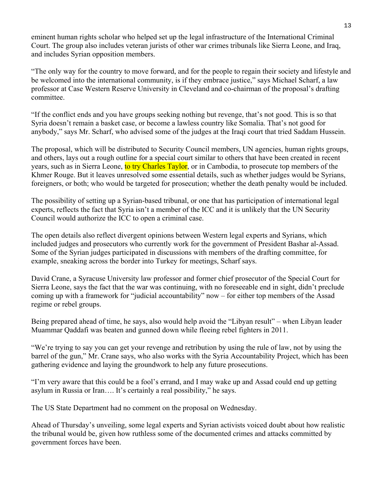eminent human rights scholar who helped set up the legal infrastructure of the International Criminal Court. The group also includes veteran jurists of other war crimes tribunals like Sierra Leone, and Iraq, and includes Syrian opposition members.

"The only way for the country to move forward, and for the people to regain their society and lifestyle and be welcomed into the international community, is if they embrace justice," says Michael Scharf, a law professor at Case Western Reserve University in Cleveland and co-chairman of the proposal's drafting committee.

"If the conflict ends and you have groups seeking nothing but revenge, that's not good. This is so that Syria doesn't remain a basket case, or become a lawless country like Somalia. That's not good for anybody," says Mr. Scharf, who advised some of the judges at the Iraqi court that tried Saddam Hussein.

The proposal, which will be distributed to Security Council members, UN agencies, human rights groups, and others, lays out a rough outline for a special court similar to others that have been created in recent years, such as in Sierra Leone, to try Charles Taylor, or in Cambodia, to prosecute top members of the Khmer Rouge. But it leaves unresolved some essential details, such as whether judges would be Syrians, foreigners, or both; who would be targeted for prosecution; whether the death penalty would be included.

The possibility of setting up a Syrian-based tribunal, or one that has participation of international legal experts, reflects the fact that Syria isn't a member of the ICC and it is unlikely that the UN Security Council would authorize the ICC to open a criminal case.

The open details also reflect divergent opinions between Western legal experts and Syrians, which included judges and prosecutors who currently work for the government of President Bashar al-Assad. Some of the Syrian judges participated in discussions with members of the drafting committee, for example, sneaking across the border into Turkey for meetings, Scharf says.

David Crane, a Syracuse University law professor and former chief prosecutor of the Special Court for Sierra Leone, says the fact that the war was continuing, with no foreseeable end in sight, didn't preclude coming up with a framework for "judicial accountability" now – for either top members of the Assad regime or rebel groups.

Being prepared ahead of time, he says, also would help avoid the "Libyan result" – when Libyan leader Muammar Qaddafi was beaten and gunned down while fleeing rebel fighters in 2011.

"We're trying to say you can get your revenge and retribution by using the rule of law, not by using the barrel of the gun," Mr. Crane says, who also works with the Syria Accountability Project, which has been gathering evidence and laying the groundwork to help any future prosecutions.

"I'm very aware that this could be a fool's errand, and I may wake up and Assad could end up getting asylum in Russia or Iran…. It's certainly a real possibility," he says.

The US State Department had no comment on the proposal on Wednesday.

Ahead of Thursday's unveiling, some legal experts and Syrian activists voiced doubt about how realistic the tribunal would be, given how ruthless some of the documented crimes and attacks committed by government forces have been.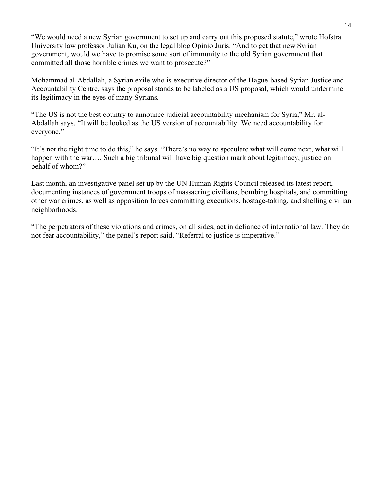"We would need a new Syrian government to set up and carry out this proposed statute," wrote Hofstra University law professor Julian Ku, on the legal blog Opinio Juris. "And to get that new Syrian government, would we have to promise some sort of immunity to the old Syrian government that committed all those horrible crimes we want to prosecute?"

Mohammad al-Abdallah, a Syrian exile who is executive director of the Hague-based Syrian Justice and Accountability Centre, says the proposal stands to be labeled as a US proposal, which would undermine its legitimacy in the eyes of many Syrians.

"The US is not the best country to announce judicial accountability mechanism for Syria," Mr. al-Abdallah says. "It will be looked as the US version of accountability. We need accountability for everyone."

"It's not the right time to do this," he says. "There's no way to speculate what will come next, what will happen with the war…. Such a big tribunal will have big question mark about legitimacy, justice on behalf of whom?"

Last month, an investigative panel set up by the UN Human Rights Council released its latest report, documenting instances of government troops of massacring civilians, bombing hospitals, and committing other war crimes, as well as opposition forces committing executions, hostage-taking, and shelling civilian neighborhoods.

"The perpetrators of these violations and crimes, on all sides, act in defiance of international law. They do not fear accountability," the panel's report said. "Referral to justice is imperative."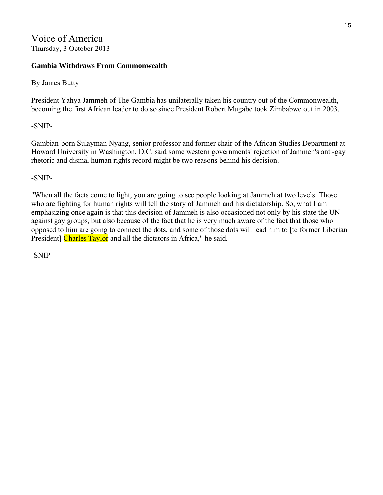# Voice of America Thursday, 3 October 2013

#### **Gambia Withdraws From Commonwealth**

#### By James Butty

President Yahya Jammeh of The Gambia has unilaterally taken his country out of the Commonwealth, becoming the first African leader to do so since President Robert Mugabe took Zimbabwe out in 2003.

-SNIP-

Gambian-born Sulayman Nyang, senior professor and former chair of the African Studies Department at Howard University in Washington, D.C. said some western governments' rejection of Jammeh's anti-gay rhetoric and dismal human rights record might be two reasons behind his decision.

-SNIP-

"When all the facts come to light, you are going to see people looking at Jammeh at two levels. Those who are fighting for human rights will tell the story of Jammeh and his dictatorship. So, what I am emphasizing once again is that this decision of Jammeh is also occasioned not only by his state the UN against gay groups, but also because of the fact that he is very much aware of the fact that those who opposed to him are going to connect the dots, and some of those dots will lead him to [to former Liberian President] Charles Taylor and all the dictators in Africa," he said.

-SNIP-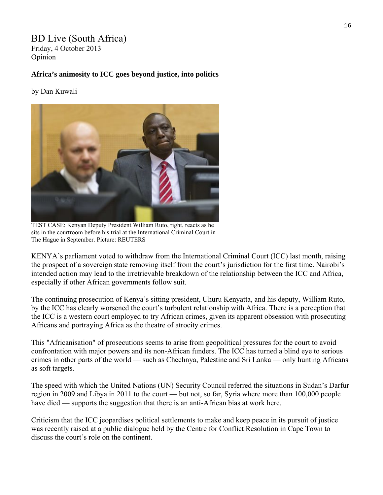#### BD Live (South Africa) Friday, 4 October 2013 Opinion

#### **Africa's animosity to ICC goes beyond justice, into politics**

#### by Dan Kuwali



TEST CASE: Kenyan Deputy President William Ruto, right, reacts as he sits in the courtroom before his trial at the International Criminal Court in The Hague in September. Picture: REUTERS

KENYA's parliament voted to withdraw from the International Criminal Court (ICC) last month, raising the prospect of a sovereign state removing itself from the court's jurisdiction for the first time. Nairobi's intended action may lead to the irretrievable breakdown of the relationship between the ICC and Africa, especially if other African governments follow suit.

The continuing prosecution of Kenya's sitting president, Uhuru Kenyatta, and his deputy, William Ruto, by the ICC has clearly worsened the court's turbulent relationship with Africa. There is a perception that the ICC is a western court employed to try African crimes, given its apparent obsession with prosecuting Africans and portraying Africa as the theatre of atrocity crimes.

This "Africanisation" of prosecutions seems to arise from geopolitical pressures for the court to avoid confrontation with major powers and its non-African funders. The ICC has turned a blind eye to serious crimes in other parts of the world — such as Chechnya, Palestine and Sri Lanka — only hunting Africans as soft targets.

The speed with which the United Nations (UN) Security Council referred the situations in Sudan's Darfur region in 2009 and Libya in 2011 to the court — but not, so far, Syria where more than 100,000 people have died — supports the suggestion that there is an anti-African bias at work here.

Criticism that the ICC jeopardises political settlements to make and keep peace in its pursuit of justice was recently raised at a public dialogue held by the Centre for Conflict Resolution in Cape Town to discuss the court's role on the continent.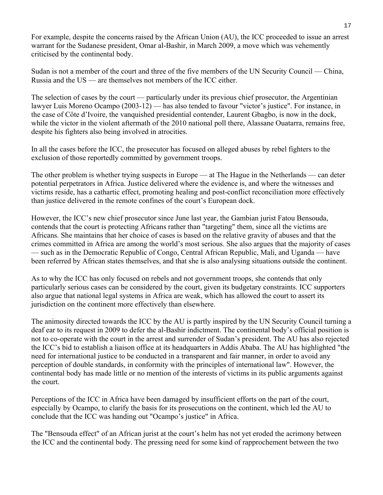For example, despite the concerns raised by the African Union (AU), the ICC proceeded to issue an arrest warrant for the Sudanese president, Omar al-Bashir, in March 2009, a move which was vehemently criticised by the continental body.

Sudan is not a member of the court and three of the five members of the UN Security Council — China, Russia and the US — are themselves not members of the ICC either.

The selection of cases by the court — particularly under its previous chief prosecutor, the Argentinian lawyer Luis Moreno Ocampo (2003-12) — has also tended to favour "victor's justice". For instance, in the case of Côte d'Ivoire, the vanquished presidential contender, Laurent Gbagbo, is now in the dock, while the victor in the violent aftermath of the 2010 national poll there, Alassane Ouatarra, remains free, despite his fighters also being involved in atrocities.

In all the cases before the ICC, the prosecutor has focused on alleged abuses by rebel fighters to the exclusion of those reportedly committed by government troops.

The other problem is whether trying suspects in Europe — at The Hague in the Netherlands — can deter potential perpetrators in Africa. Justice delivered where the evidence is, and where the witnesses and victims reside, has a cathartic effect, promoting healing and post-conflict reconciliation more effectively than justice delivered in the remote confines of the court's European dock.

However, the ICC's new chief prosecutor since June last year, the Gambian jurist Fatou Bensouda, contends that the court is protecting Africans rather than "targeting" them, since all the victims are Africans. She maintains that her choice of cases is based on the relative gravity of abuses and that the crimes committed in Africa are among the world's most serious. She also argues that the majority of cases — such as in the Democratic Republic of Congo, Central African Republic, Mali, and Uganda — have been referred by African states themselves, and that she is also analysing situations outside the continent.

As to why the ICC has only focused on rebels and not government troops, she contends that only particularly serious cases can be considered by the court, given its budgetary constraints. ICC supporters also argue that national legal systems in Africa are weak, which has allowed the court to assert its jurisdiction on the continent more effectively than elsewhere.

The animosity directed towards the ICC by the AU is partly inspired by the UN Security Council turning a deaf ear to its request in 2009 to defer the al-Bashir indictment. The continental body's official position is not to co-operate with the court in the arrest and surrender of Sudan's president. The AU has also rejected the ICC's bid to establish a liaison office at its headquarters in Addis Ababa. The AU has highlighted "the need for international justice to be conducted in a transparent and fair manner, in order to avoid any perception of double standards, in conformity with the principles of international law". However, the continental body has made little or no mention of the interests of victims in its public arguments against the court.

Perceptions of the ICC in Africa have been damaged by insufficient efforts on the part of the court, especially by Ocampo, to clarify the basis for its prosecutions on the continent, which led the AU to conclude that the ICC was handing out "Ocampo's justice" in Africa.

The "Bensouda effect" of an African jurist at the court's helm has not yet eroded the acrimony between the ICC and the continental body. The pressing need for some kind of rapprochement between the two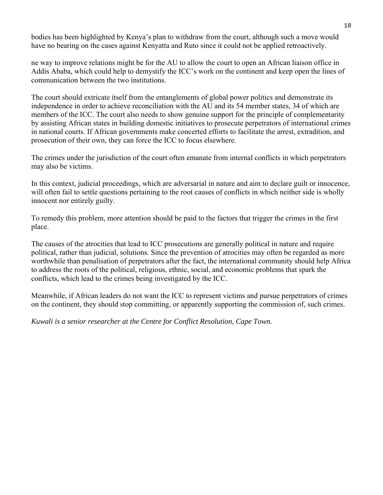bodies has been highlighted by Kenya's plan to withdraw from the court, although such a move would have no bearing on the cases against Kenyatta and Ruto since it could not be applied retroactively.

ne way to improve relations might be for the AU to allow the court to open an African liaison office in Addis Ababa, which could help to demystify the ICC's work on the continent and keep open the lines of communication between the two institutions.

The court should extricate itself from the entanglements of global power politics and demonstrate its independence in order to achieve reconciliation with the AU and its 54 member states, 34 of which are members of the ICC. The court also needs to show genuine support for the principle of complementarity by assisting African states in building domestic initiatives to prosecute perpetrators of international crimes in national courts. If African governments make concerted efforts to facilitate the arrest, extradition, and prosecution of their own, they can force the ICC to focus elsewhere.

The crimes under the jurisdiction of the court often emanate from internal conflicts in which perpetrators may also be victims.

In this context, judicial proceedings, which are adversarial in nature and aim to declare guilt or innocence, will often fail to settle questions pertaining to the root causes of conflicts in which neither side is wholly innocent nor entirely guilty.

To remedy this problem, more attention should be paid to the factors that trigger the crimes in the first place.

The causes of the atrocities that lead to ICC prosecutions are generally political in nature and require political, rather than judicial, solutions. Since the prevention of atrocities may often be regarded as more worthwhile than penalisation of perpetrators after the fact, the international community should help Africa to address the roots of the political, religious, ethnic, social, and economic problems that spark the conflicts, which lead to the crimes being investigated by the ICC.

Meanwhile, if African leaders do not want the ICC to represent victims and pursue perpetrators of crimes on the continent, they should stop committing, or apparently supporting the commission of, such crimes.

*Kuwali is a senior researcher at the Centre for Conflict Resolution, Cape Town.*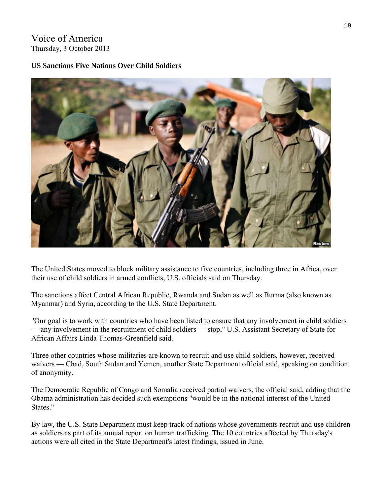# Voice of America Thursday, 3 October 2013

#### **US Sanctions Five Nations Over Child Soldiers**



The United States moved to block military assistance to five countries, including three in Africa, over their use of child soldiers in armed conflicts, U.S. officials said on Thursday.

The sanctions affect Central African Republic, Rwanda and Sudan as well as Burma (also known as Myanmar) and Syria, according to the U.S. State Department.

"Our goal is to work with countries who have been listed to ensure that any involvement in child soldiers — any involvement in the recruitment of child soldiers — stop," U.S. Assistant Secretary of State for African Affairs Linda Thomas-Greenfield said.

Three other countries whose militaries are known to recruit and use child soldiers, however, received waivers — Chad, South Sudan and Yemen, another State Department official said, speaking on condition of anonymity.

The Democratic Republic of Congo and Somalia received partial waivers, the official said, adding that the Obama administration has decided such exemptions "would be in the national interest of the United States."

By law, the U.S. State Department must keep track of nations whose governments recruit and use children as soldiers as part of its annual report on human trafficking. The 10 countries affected by Thursday's actions were all cited in the State Department's latest findings, issued in June.